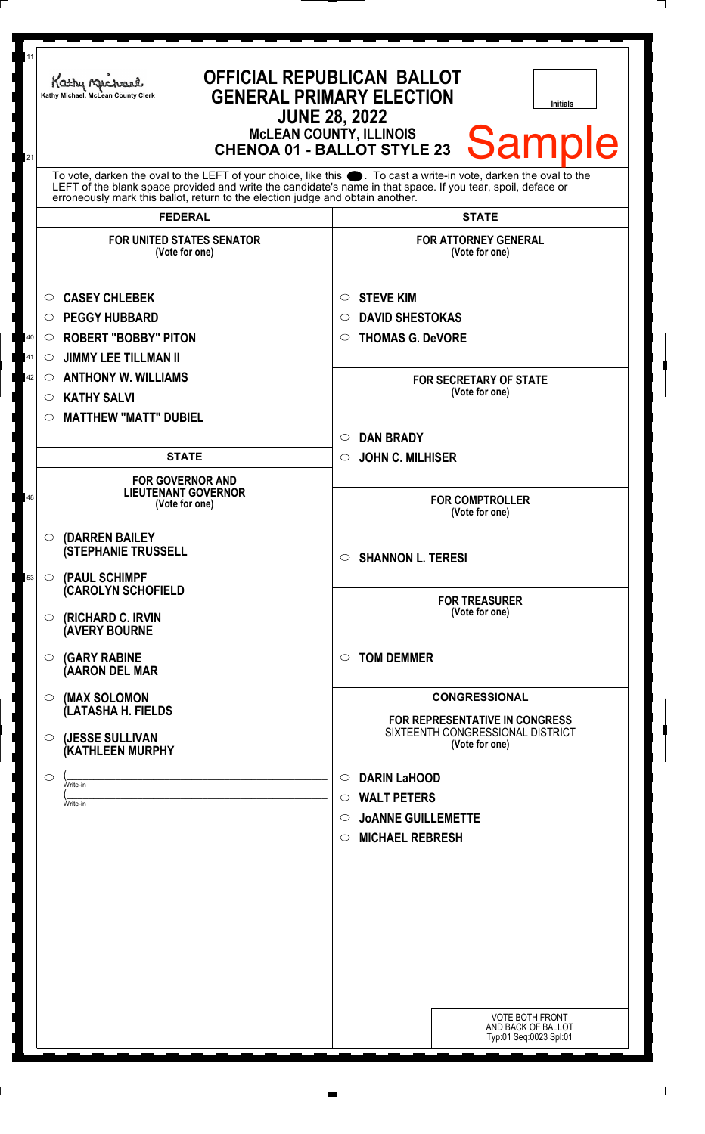| 11       | Kathy Michael<br>Kathy Michael, McLean County Clerk                                                                                                                     | <b>OFFICIAL REPUBLICAN BALLOT</b><br><b>GENERAL PRIMARY ELECTION</b><br>Initials<br><b>JUNE 28, 2022</b><br><b>McLEAN COUNTY, ILLINOIS</b><br><b>Sample</b><br><b>CHENOA 01 - BALLOT STYLE 23</b>                                    |
|----------|-------------------------------------------------------------------------------------------------------------------------------------------------------------------------|--------------------------------------------------------------------------------------------------------------------------------------------------------------------------------------------------------------------------------------|
| 21       | erroneously mark this ballot, return to the election judge and obtain another.                                                                                          | To vote, darken the oval to the LEFT of your choice, like this $\bullet$ . To cast a write-in vote, darken the oval to the LEFT of the blank space provided and write the candidate's name in that space. If you tear, spoil, deface |
|          | <b>FEDERAL</b>                                                                                                                                                          | <b>STATE</b>                                                                                                                                                                                                                         |
|          | <b>FOR UNITED STATES SENATOR</b><br>(Vote for one)                                                                                                                      | <b>FOR ATTORNEY GENERAL</b><br>(Vote for one)                                                                                                                                                                                        |
| 40       | <b>CASEY CHLEBEK</b><br>$\circ$<br><b>PEGGY HUBBARD</b><br>$\circ$<br><b>ROBERT "BOBBY" PITON</b><br>$\circ$                                                            | <b>STEVE KIM</b><br>$\circ$<br><b>DAVID SHESTOKAS</b><br>◯<br><b>THOMAS G. DeVORE</b><br>O                                                                                                                                           |
| 41<br>42 | <b>JIMMY LEE TILLMAN II</b><br>$\circ$<br><b>ANTHONY W. WILLIAMS</b><br>$\circ$<br><b>KATHY SALVI</b><br>$\circ$<br><b>MATTHEW "MATT" DUBIEL</b><br>$\circlearrowright$ | <b>FOR SECRETARY OF STATE</b><br>(Vote for one)                                                                                                                                                                                      |
|          | <b>STATE</b>                                                                                                                                                            | <b>DAN BRADY</b><br>$\circlearrowright$<br><b>JOHN C. MILHISER</b><br>$\circ$                                                                                                                                                        |
| 48       | <b>FOR GOVERNOR AND</b><br><b>LIEUTENANT GOVERNOR</b><br>(Vote for one)                                                                                                 | <b>FOR COMPTROLLER</b><br>(Vote for one)                                                                                                                                                                                             |
|          | $\circ$ (DARREN BAILEY<br><b>(STEPHANIE TRUSSELL</b>                                                                                                                    | $\circ$ SHANNON L. TERESI                                                                                                                                                                                                            |
| 53       | $\circ$ (PAUL SCHIMPF<br><b>CAROLYN SCHOFIELD</b><br><b>(RICHARD C. IRVIN</b><br>$\circ$<br><b>(AVERY BOURNE</b>                                                        | <b>FOR TREASURER</b><br>(Vote for one)                                                                                                                                                                                               |
|          | <b>(GARY RABINE</b><br>$\circ$<br>(AARON DEL MAR                                                                                                                        | <b>TOM DEMMER</b><br>$\circ$                                                                                                                                                                                                         |
|          | (MAX SOLOMON<br>$\circ$                                                                                                                                                 | <b>CONGRESSIONAL</b>                                                                                                                                                                                                                 |
|          | (LATASHA H. FIELDS<br>(JESSE SULLIVAN<br>$\circ$<br>(KATHLEEN MURPHY                                                                                                    | <b>FOR REPRESENTATIVE IN CONGRESS</b><br>SIXTEENTH CONGRESSIONAL DISTRICT<br>(Vote for one)                                                                                                                                          |
|          | $\circ$<br>Write-in<br>Write-in                                                                                                                                         | <b>DARIN LaHOOD</b><br>O<br><b>WALT PETERS</b><br>$\circ$<br><b>JOANNE GUILLEMETTE</b><br>◯                                                                                                                                          |
|          |                                                                                                                                                                         | <b>MICHAEL REBRESH</b><br>$\circ$                                                                                                                                                                                                    |
|          |                                                                                                                                                                         | <b>VOTE BOTH FRONT</b><br>AND BACK OF BALLOT<br>Typ:01 Seq:0023 Spl:01                                                                                                                                                               |

 $\Box$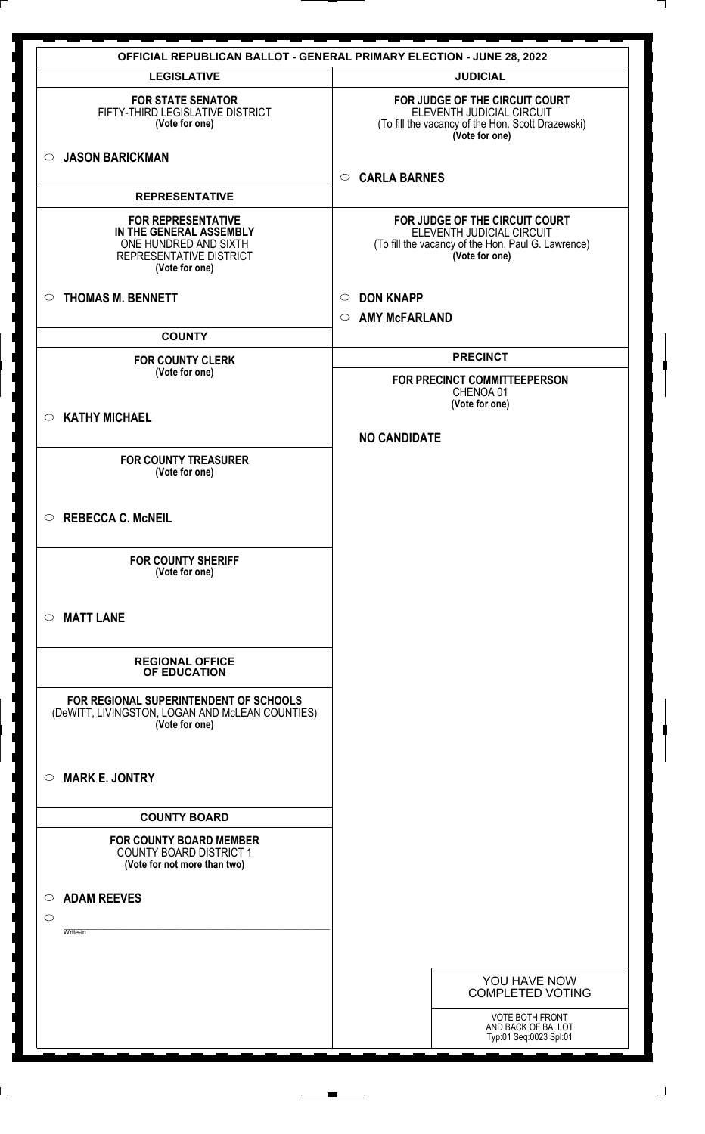|                                                                                                                            | <b>OFFICIAL REPUBLICAN BALLOT - GENERAL PRIMARY ELECTION - JUNE 28, 2022</b>                                                        |
|----------------------------------------------------------------------------------------------------------------------------|-------------------------------------------------------------------------------------------------------------------------------------|
| <b>LEGISLATIVE</b>                                                                                                         | <b>JUDICIAL</b>                                                                                                                     |
| <b>FOR STATE SENATOR</b><br>FIFTY-THIRD LEGISLATIVE DISTRICT<br>(Vote for one)                                             | FOR JUDGE OF THE CIRCUIT COURT<br>ELEVENTH JUDICIAL CIRCUIT<br>(To fill the vacancy of the Hon. Scott Drazewski)<br>(Vote for one)  |
| <b>JASON BARICKMAN</b><br>$\circ$                                                                                          | <b>CARLA BARNES</b><br>$\circ$                                                                                                      |
| <b>REPRESENTATIVE</b>                                                                                                      |                                                                                                                                     |
| <b>FOR REPRESENTATIVE</b><br>IN THE GENERAL ASSEMBLY<br>ONE HUNDRED AND SIXTH<br>REPRESENTATIVE DISTRICT<br>(Vote for one) | FOR JUDGE OF THE CIRCUIT COURT<br>ELEVENTH JUDICIAL CIRCUIT<br>(To fill the vacancy of the Hon. Paul G. Lawrence)<br>(Vote for one) |
| <b>THOMAS M. BENNETT</b><br>$\circ$                                                                                        | <b>DON KNAPP</b><br>$\circ$                                                                                                         |
|                                                                                                                            | <b>AMY McFARLAND</b><br>$\circ$                                                                                                     |
| <b>COUNTY</b>                                                                                                              |                                                                                                                                     |
| <b>FOR COUNTY CLERK</b>                                                                                                    | <b>PRECINCT</b>                                                                                                                     |
| (Vote for one)                                                                                                             | FOR PRECINCT COMMITTEEPERSON<br>CHENOA 01<br>(Vote for one)                                                                         |
| <b>KATHY MICHAEL</b><br>$\circ$                                                                                            |                                                                                                                                     |
|                                                                                                                            | <b>NO CANDIDATE</b>                                                                                                                 |
| <b>FOR COUNTY TREASURER</b><br>(Vote for one)                                                                              |                                                                                                                                     |
| <b>REBECCA C. McNEIL</b><br>$\circ$                                                                                        |                                                                                                                                     |
| <b>FOR COUNTY SHERIFF</b><br>(Vote for one)                                                                                |                                                                                                                                     |
| <b>MATT LANE</b><br>$\circ$                                                                                                |                                                                                                                                     |
| <b>REGIONAL OFFICE</b><br>OF EDUCATION                                                                                     |                                                                                                                                     |
| FOR REGIONAL SUPERINTENDENT OF SCHOOLS<br>(DeWITT, LIVINGSTON, LOGAN AND McLEAN COUNTIES)<br>(Vote for one)                |                                                                                                                                     |
| <b>MARK E. JONTRY</b><br>$\circ$                                                                                           |                                                                                                                                     |
| <b>COUNTY BOARD</b>                                                                                                        |                                                                                                                                     |
| <b>FOR COUNTY BOARD MEMBER</b><br><b>COUNTY BOARD DISTRICT 1</b><br>(Vote for not more than two)                           |                                                                                                                                     |
| <b>ADAM REEVES</b><br>$\circ$<br>$\circ$                                                                                   |                                                                                                                                     |
| Write-in                                                                                                                   |                                                                                                                                     |
|                                                                                                                            | YOU HAVE NOW<br><b>COMPLETED VOTING</b>                                                                                             |
|                                                                                                                            | <b>VOTE BOTH FRONT</b><br>AND BACK OF BALLOT<br>Typ:01 Seq:0023 Spl:01                                                              |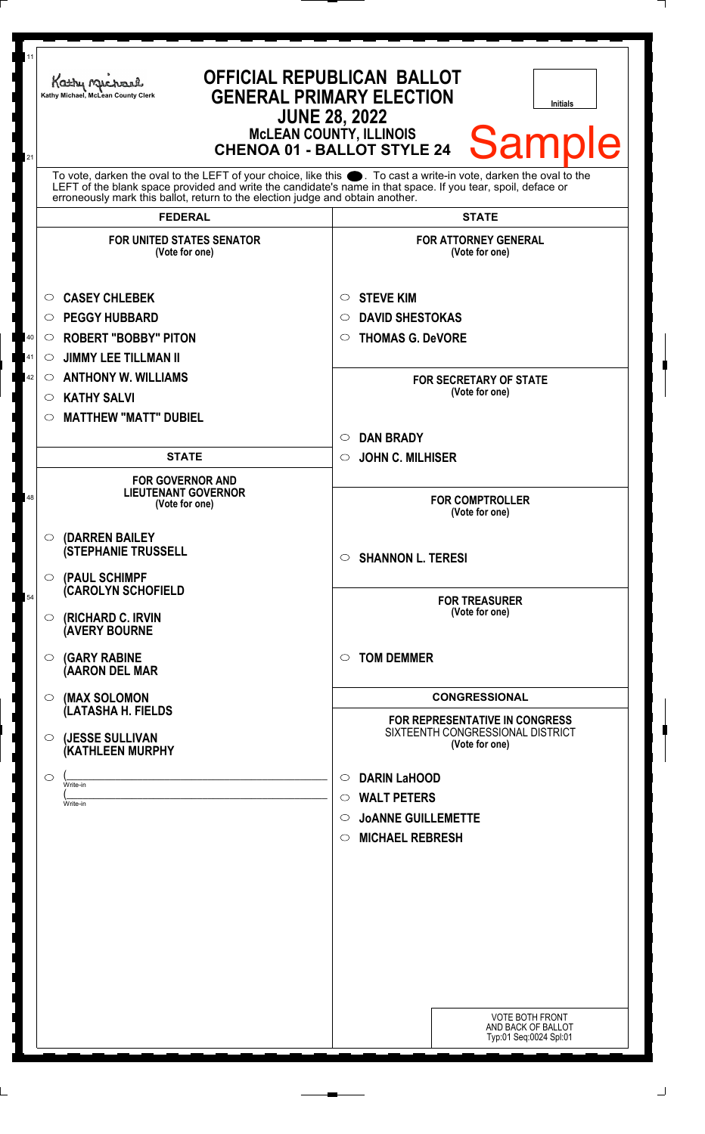| 11<br>21 | Kathy Michael<br>Kathy Michael, McLean County Clerk                                                                                                                                                                                                                                                                 | <b>OFFICIAL REPUBLICAN BALLOT</b><br><b>GENERAL PRIMARY ELECTION</b><br><b>Initials</b><br><b>JUNE 28, 2022</b><br><b>MCLEAN COUNTY, ILLINOIS</b><br><b>Sample</b><br><b>CHENOA 01 - BALLOT STYLE 24</b> |
|----------|---------------------------------------------------------------------------------------------------------------------------------------------------------------------------------------------------------------------------------------------------------------------------------------------------------------------|----------------------------------------------------------------------------------------------------------------------------------------------------------------------------------------------------------|
|          | To vote, darken the oval to the LEFT of your choice, like this ●. To cast a write-in vote, darken the oval to the<br>LEFT of the blank space provided and write the candidate's name in that space. If you tear, spoil, deface or<br>erroneously mark this ballot, return to the election judge and obtain another. |                                                                                                                                                                                                          |
|          | <b>FEDERAL</b>                                                                                                                                                                                                                                                                                                      | <b>STATE</b>                                                                                                                                                                                             |
|          | <b>FOR UNITED STATES SENATOR</b><br>(Vote for one)                                                                                                                                                                                                                                                                  | <b>FOR ATTORNEY GENERAL</b><br>(Vote for one)                                                                                                                                                            |
|          | <b>CASEY CHLEBEK</b><br>O                                                                                                                                                                                                                                                                                           | <b>STEVE KIM</b><br>$\circ$                                                                                                                                                                              |
|          | <b>PEGGY HUBBARD</b><br>$\circ$                                                                                                                                                                                                                                                                                     | <b>DAVID SHESTOKAS</b><br>$\circ$                                                                                                                                                                        |
| 40       | <b>ROBERT "BOBBY" PITON</b><br>O                                                                                                                                                                                                                                                                                    | <b>THOMAS G. DeVORE</b><br>$\circ$                                                                                                                                                                       |
| 41       | <b>JIMMY LEE TILLMAN II</b><br>$\circ$                                                                                                                                                                                                                                                                              |                                                                                                                                                                                                          |
| 42       | <b>ANTHONY W. WILLIAMS</b><br>$\circ$                                                                                                                                                                                                                                                                               | <b>FOR SECRETARY OF STATE</b>                                                                                                                                                                            |
|          | <b>KATHY SALVI</b><br>$\circ$                                                                                                                                                                                                                                                                                       | (Vote for one)                                                                                                                                                                                           |
|          | <b>MATTHEW "MATT" DUBIEL</b><br>◯                                                                                                                                                                                                                                                                                   |                                                                                                                                                                                                          |
|          |                                                                                                                                                                                                                                                                                                                     | <b>DAN BRADY</b><br>$\circ$                                                                                                                                                                              |
|          | <b>STATE</b>                                                                                                                                                                                                                                                                                                        | <b>JOHN C. MILHISER</b><br>$\circ$                                                                                                                                                                       |
| 48       | <b>FOR GOVERNOR AND</b><br><b>LIEUTENANT GOVERNOR</b><br>(Vote for one)                                                                                                                                                                                                                                             | <b>FOR COMPTROLLER</b><br>(Vote for one)                                                                                                                                                                 |
|          | (DARREN BAILEY<br>$\circ$<br><b>(STEPHANIE TRUSSELL</b><br>$\circ$ (PAUL SCHIMPF                                                                                                                                                                                                                                    | <b>SHANNON L. TERESI</b><br>$\circ$                                                                                                                                                                      |
| 54       | <b>CAROLYN SCHOFIELD</b><br><b>(RICHARD C. IRVIN</b><br>$\circ$<br><b>(AVERY BOURNE</b>                                                                                                                                                                                                                             | <b>FOR TREASURER</b><br>(Vote for one)                                                                                                                                                                   |
|          | <b>(GARY RABINE</b><br>$\circ$<br>(AARON DEL MAR                                                                                                                                                                                                                                                                    | <b>TOM DEMMER</b><br>$\circ$                                                                                                                                                                             |
|          | (MAX SOLOMON<br>O                                                                                                                                                                                                                                                                                                   | <b>CONGRESSIONAL</b>                                                                                                                                                                                     |
|          | (LATASHA H. FIELDS<br>(JESSE SULLIVAN<br>$\circ$<br>(KATHLEEN MURPHY                                                                                                                                                                                                                                                | FOR REPRESENTATIVE IN CONGRESS<br>SIXTEENTH CONGRESSIONAL DISTRICT<br>(Vote for one)                                                                                                                     |
|          | ◯                                                                                                                                                                                                                                                                                                                   | <b>DARIN LaHOOD</b><br>$\circ$                                                                                                                                                                           |
|          | Write-in                                                                                                                                                                                                                                                                                                            | <b>WALT PETERS</b><br>$\circ$                                                                                                                                                                            |
|          | Write-in                                                                                                                                                                                                                                                                                                            | <b>JOANNE GUILLEMETTE</b><br>$\circ$                                                                                                                                                                     |
|          |                                                                                                                                                                                                                                                                                                                     | <b>MICHAEL REBRESH</b><br>$\circ$                                                                                                                                                                        |
|          |                                                                                                                                                                                                                                                                                                                     |                                                                                                                                                                                                          |
|          |                                                                                                                                                                                                                                                                                                                     |                                                                                                                                                                                                          |
|          |                                                                                                                                                                                                                                                                                                                     |                                                                                                                                                                                                          |
|          |                                                                                                                                                                                                                                                                                                                     |                                                                                                                                                                                                          |
|          |                                                                                                                                                                                                                                                                                                                     |                                                                                                                                                                                                          |
|          |                                                                                                                                                                                                                                                                                                                     |                                                                                                                                                                                                          |
|          |                                                                                                                                                                                                                                                                                                                     |                                                                                                                                                                                                          |
|          |                                                                                                                                                                                                                                                                                                                     |                                                                                                                                                                                                          |
|          |                                                                                                                                                                                                                                                                                                                     | <b>VOTE BOTH FRONT</b><br>AND BACK OF BALLOT<br>Typ:01 Seq:0024 Spl:01                                                                                                                                   |

 $\Box$